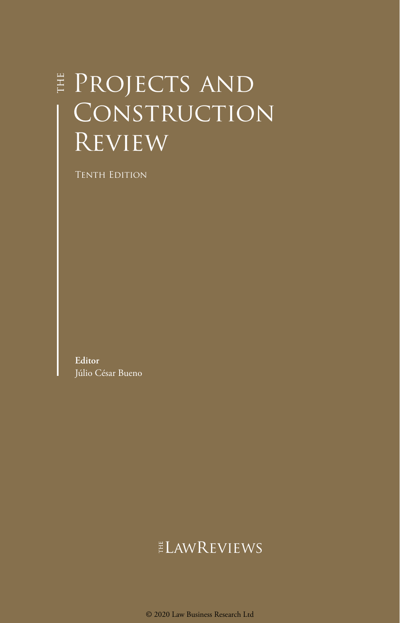## **E** PROJECTS AND CONSTRUCTION Review

Tenth Edition

**Editor** Júlio César Bueno

## ELAWREVIEWS

© 2020 Law Business Research Ltd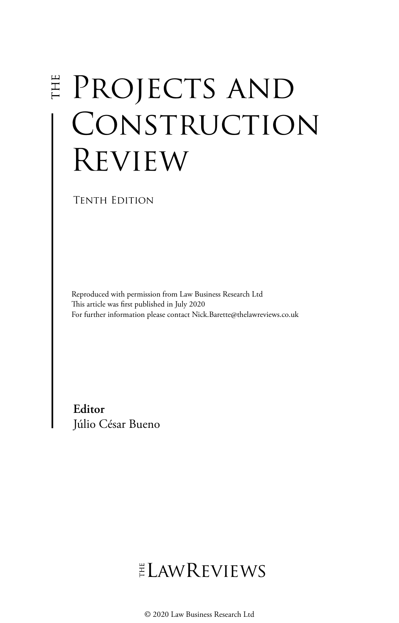# Projects and CONSTRUCTION Review

Tenth Edition

Reproduced with permission from Law Business Research Ltd This article was first published in July 2020 For further information please contact Nick.Barette@thelawreviews.co.uk

**Editor** Júlio César Bueno

## $ELMR$  EVIEWS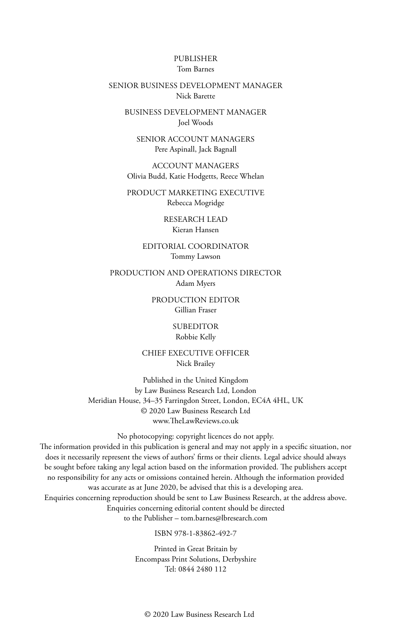#### PUBLISHER Tom Barnes

#### SENIOR BUSINESS DEVELOPMENT MANAGER Nick Barette

BUSINESS DEVELOPMENT MANAGER Joel Woods

SENIOR ACCOUNT MANAGERS Pere Aspinall, Jack Bagnall

ACCOUNT MANAGERS Olivia Budd, Katie Hodgetts, Reece Whelan

PRODUCT MARKETING EXECUTIVE Rebecca Mogridge

> RESEARCH LEAD Kieran Hansen

EDITORIAL COORDINATOR Tommy Lawson

PRODUCTION AND OPERATIONS DIRECTOR Adam Myers

> PRODUCTION EDITOR Gillian Fraser

> > SUBEDITOR Robbie Kelly

CHIEF EXECUTIVE OFFICER Nick Brailey

Published in the United Kingdom by Law Business Research Ltd, London Meridian House, 34–35 Farringdon Street, London, EC4A 4HL, UK © 2020 Law Business Research Ltd www.TheLawReviews.co.uk

No photocopying: copyright licences do not apply. The information provided in this publication is general and may not apply in a specific situation, nor does it necessarily represent the views of authors' firms or their clients. Legal advice should always be sought before taking any legal action based on the information provided. The publishers accept no responsibility for any acts or omissions contained herein. Although the information provided was accurate as at June 2020, be advised that this is a developing area. Enquiries concerning reproduction should be sent to Law Business Research, at the address above. Enquiries concerning editorial content should be directed to the Publisher – tom.barnes@lbresearch.com

ISBN 978-1-83862-492-7

Printed in Great Britain by Encompass Print Solutions, Derbyshire Tel: 0844 2480 112

© 2020 Law Business Research Ltd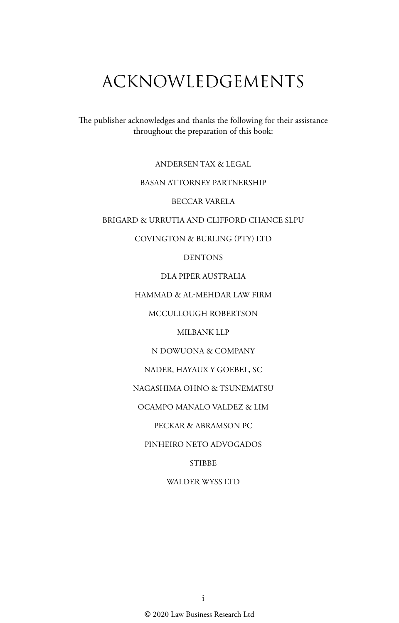## ACKNOWLEDGEMENTS

The publisher acknowledges and thanks the following for their assistance throughout the preparation of this book:

ANDERSEN TAX & LEGAL

#### BASAN ATTORNEY PARTNERSHIP

BECCAR VARELA

BRIGARD & URRUTIA AND CLIFFORD CHANCE SLPU

COVINGTON & BURLING (PTY) LTD

DENTONS

DLA PIPER AUSTRALIA

HAMMAD & AL-MEHDAR LAW FIRM

MCCULLOUGH ROBERTSON

MILBANK LLP

N DOWUONA & COMPANY

NADER, HAYAUX Y GOEBEL, SC

NAGASHIMA OHNO & TSUNEMATSU

OCAMPO MANALO VALDEZ & LIM

PECKAR & ABRAMSON PC

PINHEIRO NETO ADVOGADOS

**STIBBE** 

WALDER WYSS LTD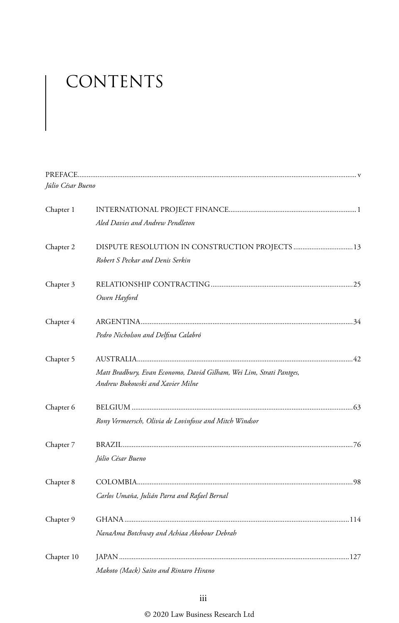# CONTENTS

| Júlio César Bueno |                                                                     |  |
|-------------------|---------------------------------------------------------------------|--|
| Chapter 1         |                                                                     |  |
|                   | Aled Davies and Andrew Pendleton                                    |  |
| Chapter 2         | DISPUTE RESOLUTION IN CONSTRUCTION PROJECTS  13                     |  |
|                   | Robert S Peckar and Denis Serkin                                    |  |
| Chapter 3         |                                                                     |  |
|                   | Owen Hayford                                                        |  |
| Chapter 4         |                                                                     |  |
|                   | Pedro Nicholson and Delfina Calabró                                 |  |
| Chapter 5         |                                                                     |  |
|                   | Matt Bradbury, Evan Economo, David Gilham, Wei Lim, Strati Pantges, |  |
|                   | Andrew Bukowski and Xavier Milne                                    |  |
| Chapter 6         |                                                                     |  |
|                   | Rony Vermeersch, Olivia de Lovinfosse and Mitch Windsor             |  |
| Chapter 7         |                                                                     |  |
|                   | Júlio César Bueno                                                   |  |
| Chapter 8         |                                                                     |  |
|                   | Carlos Umaña, Julián Parra and Rafael Bernal                        |  |
| Chapter 9         |                                                                     |  |
|                   | NanaAma Botchway and Achiaa Akobour Debrah                          |  |
| Chapter 10        |                                                                     |  |
|                   | Makoto (Mack) Saito and Rintaro Hirano                              |  |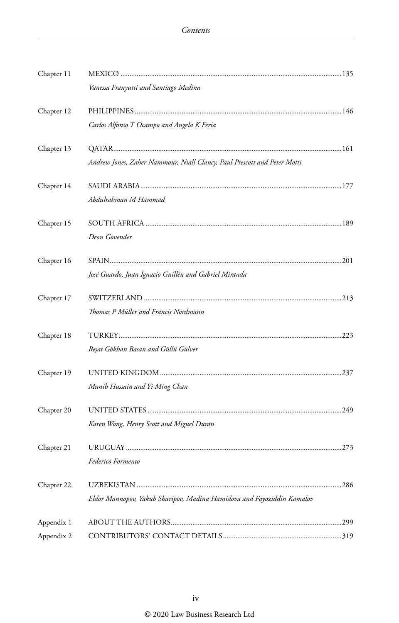| Chapter 11 |                                                                          |  |
|------------|--------------------------------------------------------------------------|--|
|            | Vanessa Franyutti and Santiago Medina                                    |  |
| Chapter 12 |                                                                          |  |
|            | Carlos Alfonso T Ocampo and Angela K Feria                               |  |
| Chapter 13 |                                                                          |  |
|            | Andrew Jones, Zaher Nammour, Niall Clancy, Paul Prescott and Peter Motti |  |
| Chapter 14 |                                                                          |  |
|            | Abdulrahman M Hammad                                                     |  |
| Chapter 15 |                                                                          |  |
|            | Deon Govender                                                            |  |
| Chapter 16 |                                                                          |  |
|            | José Guardo, Juan Ignacio Guillén and Gabriel Miranda                    |  |
| Chapter 17 |                                                                          |  |
|            | Thomas P Müller and Francis Nordmann                                     |  |
| Chapter 18 |                                                                          |  |
|            | Reşat Gökhan Basan and Güllü Gülver                                      |  |
| Chapter 19 |                                                                          |  |
|            | Munib Hussain and Yi Ming Chan                                           |  |
| Chapter 20 |                                                                          |  |
|            | Karen Wong, Henry Scott and Miguel Duran                                 |  |
| Chapter 21 |                                                                          |  |
|            | Federico Formento                                                        |  |
| Chapter 22 |                                                                          |  |
|            | Eldor Mannopov, Yakub Sharipov, Madina Hamidova and Fayoziddin Kamalov   |  |
| Appendix 1 |                                                                          |  |
| Appendix 2 |                                                                          |  |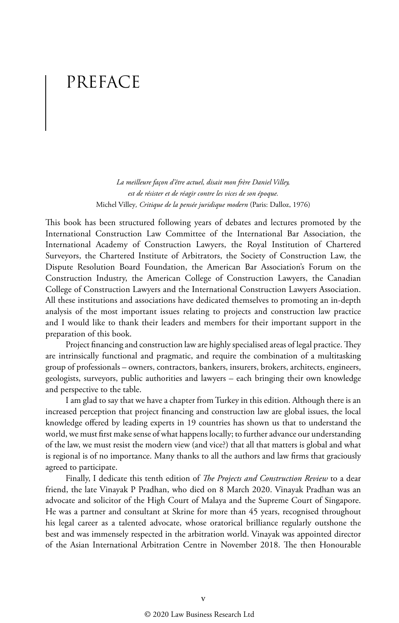## PREFACE

*La meilleure façon d'être actuel, disait mon frère Daniel Villey, est de résister et de réagir contre les vices de son époque.*  Michel Villey*, Critique de la pensée juridique modern* (Paris: Dalloz, 1976)

This book has been structured following years of debates and lectures promoted by the International Construction Law Committee of the International Bar Association, the International Academy of Construction Lawyers, the Royal Institution of Chartered Surveyors, the Chartered Institute of Arbitrators, the Society of Construction Law, the Dispute Resolution Board Foundation, the American Bar Association's Forum on the Construction Industry, the American College of Construction Lawyers, the Canadian College of Construction Lawyers and the International Construction Lawyers Association. All these institutions and associations have dedicated themselves to promoting an in-depth analysis of the most important issues relating to projects and construction law practice and I would like to thank their leaders and members for their important support in the preparation of this book.

Project financing and construction law are highly specialised areas of legal practice. They are intrinsically functional and pragmatic, and require the combination of a multitasking group of professionals – owners, contractors, bankers, insurers, brokers, architects, engineers, geologists, surveyors, public authorities and lawyers – each bringing their own knowledge and perspective to the table.

I am glad to say that we have a chapter from Turkey in this edition. Although there is an increased perception that project financing and construction law are global issues, the local knowledge offered by leading experts in 19 countries has shown us that to understand the world, we must first make sense of what happens locally; to further advance our understanding of the law, we must resist the modern view (and vice?) that all that matters is global and what is regional is of no importance. Many thanks to all the authors and law firms that graciously agreed to participate.

Finally, I dedicate this tenth edition of *The Projects and Construction Review* to a dear friend, the late Vinayak P Pradhan, who died on 8 March 2020. Vinayak Pradhan was an advocate and solicitor of the High Court of Malaya and the Supreme Court of Singapore. He was a partner and consultant at Skrine for more than 45 years, recognised throughout his legal career as a talented advocate, whose oratorical brilliance regularly outshone the best and was immensely respected in the arbitration world. Vinayak was appointed director of the Asian International Arbitration Centre in November 2018. The then Honourable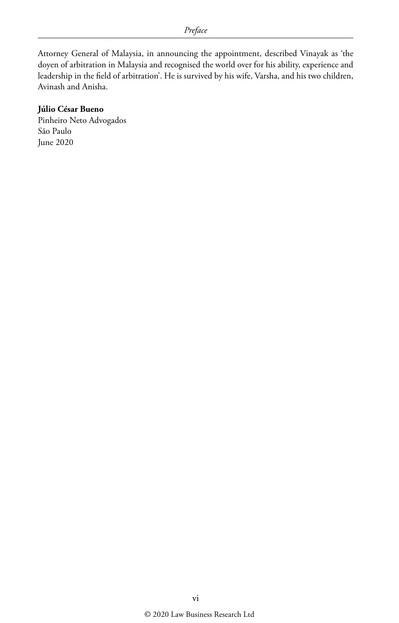Attorney General of Malaysia, in announcing the appointment, described Vinayak as 'the doyen of arbitration in Malaysia and recognised the world over for his ability, experience and leadership in the field of arbitration'. He is survived by his wife, Varsha, and his two children, Avinash and Anisha.

#### **Júlio César Bueno**

Pinheiro Neto Advogados São Paulo June 2020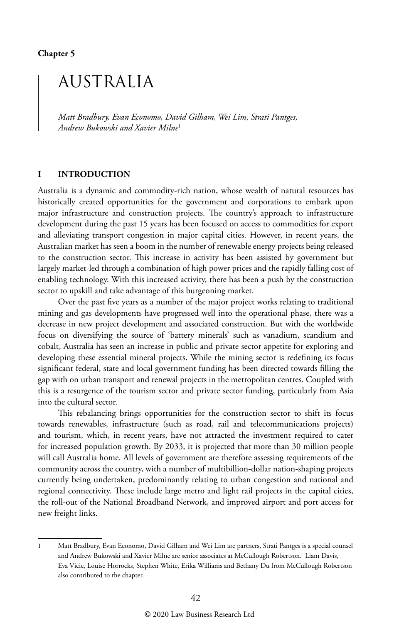**Chapter 5**

## AUSTRALIA

*Matt Bradbury, Evan Economo, David Gilham, Wei Lim, Strati Pantges, Andrew Bukowski and Xavier Milne*<sup>1</sup>

#### **I INTRODUCTION**

Australia is a dynamic and commodity-rich nation, whose wealth of natural resources has historically created opportunities for the government and corporations to embark upon major infrastructure and construction projects. The country's approach to infrastructure development during the past 15 years has been focused on access to commodities for export and alleviating transport congestion in major capital cities. However, in recent years, the Australian market has seen a boom in the number of renewable energy projects being released to the construction sector. This increase in activity has been assisted by government but largely market-led through a combination of high power prices and the rapidly falling cost of enabling technology. With this increased activity, there has been a push by the construction sector to upskill and take advantage of this burgeoning market.

Over the past five years as a number of the major project works relating to traditional mining and gas developments have progressed well into the operational phase, there was a decrease in new project development and associated construction. But with the worldwide focus on diversifying the source of 'battery minerals' such as vanadium, scandium and cobalt, Australia has seen an increase in public and private sector appetite for exploring and developing these essential mineral projects. While the mining sector is redefining its focus significant federal, state and local government funding has been directed towards filling the gap with on urban transport and renewal projects in the metropolitan centres. Coupled with this is a resurgence of the tourism sector and private sector funding, particularly from Asia into the cultural sector.

This rebalancing brings opportunities for the construction sector to shift its focus towards renewables, infrastructure (such as road, rail and telecommunications projects) and tourism, which, in recent years, have not attracted the investment required to cater for increased population growth. By 2033, it is projected that more than 30 million people will call Australia home. All levels of government are therefore assessing requirements of the community across the country, with a number of multibillion-dollar nation-shaping projects currently being undertaken, predominantly relating to urban congestion and national and regional connectivity. These include large metro and light rail projects in the capital cities, the roll-out of the National Broadband Network, and improved airport and port access for new freight links.

<sup>1</sup> Matt Bradbury, Evan Economo, David Gilham and Wei Lim are partners, Strati Pantges is a special counsel and Andrew Bukowski and Xavier Milne are senior associates at McCullough Robertson. Liam Davis, Eva Vicic, Louise Horrocks, Stephen White, Erika Williams and Bethany Du from McCullough Robertson also contributed to the chapter.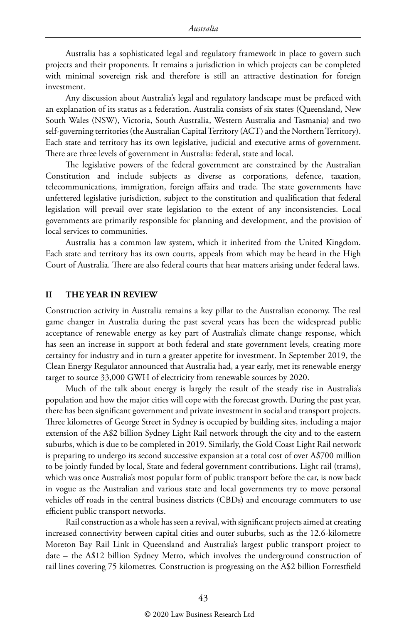Australia has a sophisticated legal and regulatory framework in place to govern such projects and their proponents. It remains a jurisdiction in which projects can be completed with minimal sovereign risk and therefore is still an attractive destination for foreign investment.

Any discussion about Australia's legal and regulatory landscape must be prefaced with an explanation of its status as a federation. Australia consists of six states (Queensland, New South Wales (NSW), Victoria, South Australia, Western Australia and Tasmania) and two self-governing territories (the Australian Capital Territory (ACT) and the Northern Territory). Each state and territory has its own legislative, judicial and executive arms of government. There are three levels of government in Australia: federal, state and local.

The legislative powers of the federal government are constrained by the Australian Constitution and include subjects as diverse as corporations, defence, taxation, telecommunications, immigration, foreign affairs and trade. The state governments have unfettered legislative jurisdiction, subject to the constitution and qualification that federal legislation will prevail over state legislation to the extent of any inconsistencies. Local governments are primarily responsible for planning and development, and the provision of local services to communities.

Australia has a common law system, which it inherited from the United Kingdom. Each state and territory has its own courts, appeals from which may be heard in the High Court of Australia. There are also federal courts that hear matters arising under federal laws.

#### **II THE YEAR IN REVIEW**

Construction activity in Australia remains a key pillar to the Australian economy. The real game changer in Australia during the past several years has been the widespread public acceptance of renewable energy as key part of Australia's climate change response, which has seen an increase in support at both federal and state government levels, creating more certainty for industry and in turn a greater appetite for investment. In September 2019, the Clean Energy Regulator announced that Australia had, a year early, met its renewable energy target to source 33,000 GWH of electricity from renewable sources by 2020.

Much of the talk about energy is largely the result of the steady rise in Australia's population and how the major cities will cope with the forecast growth. During the past year, there has been significant government and private investment in social and transport projects. Three kilometres of George Street in Sydney is occupied by building sites, including a major extension of the A\$2 billion Sydney Light Rail network through the city and to the eastern suburbs, which is due to be completed in 2019. Similarly, the Gold Coast Light Rail network is preparing to undergo its second successive expansion at a total cost of over A\$700 million to be jointly funded by local, State and federal government contributions. Light rail (trams), which was once Australia's most popular form of public transport before the car, is now back in vogue as the Australian and various state and local governments try to move personal vehicles off roads in the central business districts (CBDs) and encourage commuters to use efficient public transport networks.

Rail construction as a whole has seen a revival, with significant projects aimed at creating increased connectivity between capital cities and outer suburbs, such as the 12.6-kilometre Moreton Bay Rail Link in Queensland and Australia's largest public transport project to date – the A\$12 billion Sydney Metro, which involves the underground construction of rail lines covering 75 kilometres. Construction is progressing on the A\$2 billion Forrestfield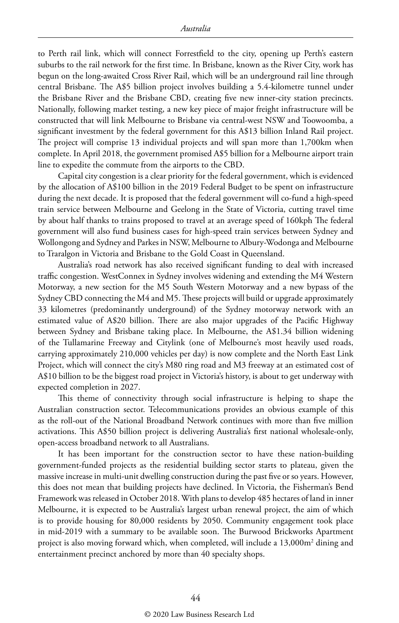to Perth rail link, which will connect Forrestfield to the city, opening up Perth's eastern suburbs to the rail network for the first time. In Brisbane, known as the River City, work has begun on the long-awaited Cross River Rail, which will be an underground rail line through central Brisbane. The A\$5 billion project involves building a 5.4-kilometre tunnel under the Brisbane River and the Brisbane CBD, creating five new inner-city station precincts. Nationally, following market testing, a new key piece of major freight infrastructure will be constructed that will link Melbourne to Brisbane via central-west NSW and Toowoomba, a significant investment by the federal government for this A\$13 billion Inland Rail project. The project will comprise 13 individual projects and will span more than 1,700km when complete. In April 2018, the government promised A\$5 billion for a Melbourne airport train line to expedite the commute from the airports to the CBD.

Capital city congestion is a clear priority for the federal government, which is evidenced by the allocation of A\$100 billion in the 2019 Federal Budget to be spent on infrastructure during the next decade. It is proposed that the federal government will co-fund a high-speed train service between Melbourne and Geelong in the State of Victoria, cutting travel time by about half thanks to trains proposed to travel at an average speed of 160kph The federal government will also fund business cases for high-speed train services between Sydney and Wollongong and Sydney and Parkes in NSW, Melbourne to Albury-Wodonga and Melbourne to Traralgon in Victoria and Brisbane to the Gold Coast in Queensland.

Australia's road network has also received significant funding to deal with increased traffic congestion. WestConnex in Sydney involves widening and extending the M4 Western Motorway, a new section for the M5 South Western Motorway and a new bypass of the Sydney CBD connecting the M4 and M5. These projects will build or upgrade approximately 33 kilometres (predominantly underground) of the Sydney motorway network with an estimated value of A\$20 billion. There are also major upgrades of the Pacific Highway between Sydney and Brisbane taking place. In Melbourne, the A\$1.34 billion widening of the Tullamarine Freeway and Citylink (one of Melbourne's most heavily used roads, carrying approximately 210,000 vehicles per day) is now complete and the North East Link Project, which will connect the city's M80 ring road and M3 freeway at an estimated cost of A\$10 billion to be the biggest road project in Victoria's history, is about to get underway with expected completion in 2027.

This theme of connectivity through social infrastructure is helping to shape the Australian construction sector. Telecommunications provides an obvious example of this as the roll-out of the National Broadband Network continues with more than five million activations. This A\$50 billion project is delivering Australia's first national wholesale-only, open-access broadband network to all Australians.

It has been important for the construction sector to have these nation-building government-funded projects as the residential building sector starts to plateau, given the massive increase in multi-unit dwelling construction during the past five or so years. However, this does not mean that building projects have declined. In Victoria, the Fisherman's Bend Framework was released in October 2018. With plans to develop 485 hectares of land in inner Melbourne, it is expected to be Australia's largest urban renewal project, the aim of which is to provide housing for 80,000 residents by 2050. Community engagement took place in mid-2019 with a summary to be available soon. The Burwood Brickworks Apartment project is also moving forward which, when completed, will include a  $13{,}000\mathrm{m}^2$  dining and entertainment precinct anchored by more than 40 specialty shops.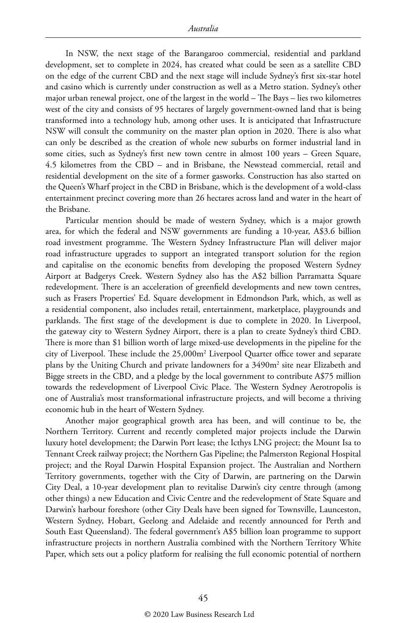In NSW, the next stage of the Barangaroo commercial, residential and parkland development, set to complete in 2024, has created what could be seen as a satellite CBD on the edge of the current CBD and the next stage will include Sydney's first six-star hotel and casino which is currently under construction as well as a Metro station. Sydney's other major urban renewal project, one of the largest in the world – The Bays – lies two kilometres west of the city and consists of 95 hectares of largely government-owned land that is being transformed into a technology hub, among other uses. It is anticipated that Infrastructure NSW will consult the community on the master plan option in 2020. There is also what can only be described as the creation of whole new suburbs on former industrial land in some cities, such as Sydney's first new town centre in almost 100 years – Green Square, 4.5 kilometres from the CBD – and in Brisbane, the Newstead commercial, retail and residential development on the site of a former gasworks. Construction has also started on the Queen's Wharf project in the CBD in Brisbane, which is the development of a wold-class entertainment precinct covering more than 26 hectares across land and water in the heart of the Brisbane.

Particular mention should be made of western Sydney, which is a major growth area, for which the federal and NSW governments are funding a 10-year, A\$3.6 billion road investment programme. The Western Sydney Infrastructure Plan will deliver major road infrastructure upgrades to support an integrated transport solution for the region and capitalise on the economic benefits from developing the proposed Western Sydney Airport at Badgerys Creek. Western Sydney also has the A\$2 billion Parramatta Square redevelopment. There is an acceleration of greenfield developments and new town centres, such as Frasers Properties' Ed. Square development in Edmondson Park, which, as well as a residential component, also includes retail, entertainment, marketplace, playgrounds and parklands. The first stage of the development is due to complete in 2020. In Liverpool, the gateway city to Western Sydney Airport, there is a plan to create Sydney's third CBD. There is more than \$1 billion worth of large mixed-use developments in the pipeline for the city of Liverpool. These include the 25,000m2 Liverpool Quarter office tower and separate plans by the Uniting Church and private landowners for a 3490m<sup>2</sup> site near Elizabeth and Bigge streets in the CBD, and a pledge by the local government to contribute A\$75 million towards the redevelopment of Liverpool Civic Place. The Western Sydney Aerotropolis is one of Australia's most transformational infrastructure projects, and will become a thriving economic hub in the heart of Western Sydney.

Another major geographical growth area has been, and will continue to be, the Northern Territory. Current and recently completed major projects include the Darwin luxury hotel development; the Darwin Port lease; the Icthys LNG project; the Mount Isa to Tennant Creek railway project; the Northern Gas Pipeline; the Palmerston Regional Hospital project; and the Royal Darwin Hospital Expansion project. The Australian and Northern Territory governments, together with the City of Darwin, are partnering on the Darwin City Deal, a 10-year development plan to revitalise Darwin's city centre through (among other things) a new Education and Civic Centre and the redevelopment of State Square and Darwin's harbour foreshore (other City Deals have been signed for Townsville, Launceston, Western Sydney, Hobart, Geelong and Adelaide and recently announced for Perth and South East Queensland). The federal government's A\$5 billion loan programme to support infrastructure projects in northern Australia combined with the Northern Territory White Paper, which sets out a policy platform for realising the full economic potential of northern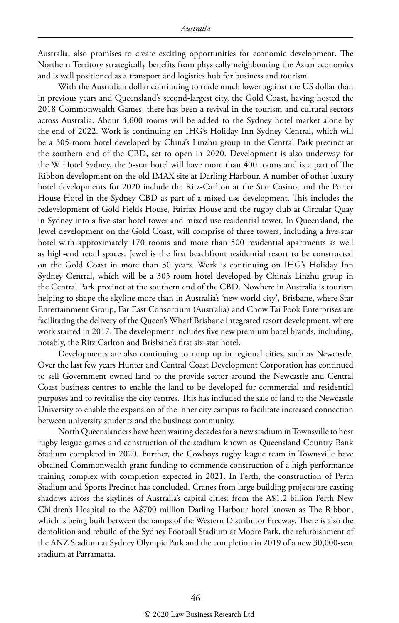Australia, also promises to create exciting opportunities for economic development. The Northern Territory strategically benefits from physically neighbouring the Asian economies and is well positioned as a transport and logistics hub for business and tourism.

With the Australian dollar continuing to trade much lower against the US dollar than in previous years and Queensland's second-largest city, the Gold Coast, having hosted the 2018 Commonwealth Games, there has been a revival in the tourism and cultural sectors across Australia. About 4,600 rooms will be added to the Sydney hotel market alone by the end of 2022. Work is continuing on IHG's Holiday Inn Sydney Central, which will be a 305-room hotel developed by China's Linzhu group in the Central Park precinct at the southern end of the CBD, set to open in 2020. Development is also underway for the W Hotel Sydney, the 5-star hotel will have more than 400 rooms and is a part of The Ribbon development on the old IMAX site at Darling Harbour. A number of other luxury hotel developments for 2020 include the Ritz-Carlton at the Star Casino, and the Porter House Hotel in the Sydney CBD as part of a mixed-use development. This includes the redevelopment of Gold Fields House, Fairfax House and the rugby club at Circular Quay in Sydney into a five-star hotel tower and mixed use residential tower. In Queensland, the Jewel development on the Gold Coast, will comprise of three towers, including a five-star hotel with approximately 170 rooms and more than 500 residential apartments as well as high-end retail spaces. Jewel is the first beachfront residential resort to be constructed on the Gold Coast in more than 30 years. Work is continuing on IHG's Holiday Inn Sydney Central, which will be a 305-room hotel developed by China's Linzhu group in the Central Park precinct at the southern end of the CBD. Nowhere in Australia is tourism helping to shape the skyline more than in Australia's 'new world city', Brisbane, where Star Entertainment Group, Far East Consortium (Australia) and Chow Tai Fook Enterprises are facilitating the delivery of the Queen's Wharf Brisbane integrated resort development, where work started in 2017. The development includes five new premium hotel brands, including, notably, the Ritz Carlton and Brisbane's first six-star hotel.

Developments are also continuing to ramp up in regional cities, such as Newcastle. Over the last few years Hunter and Central Coast Development Corporation has continued to sell Government owned land to the provide sector around the Newcastle and Central Coast business centres to enable the land to be developed for commercial and residential purposes and to revitalise the city centres. This has included the sale of land to the Newcastle University to enable the expansion of the inner city campus to facilitate increased connection between university students and the business community.

North Queenslanders have been waiting decades for a new stadium in Townsville to host rugby league games and construction of the stadium known as Queensland Country Bank Stadium completed in 2020. Further, the Cowboys rugby league team in Townsville have obtained Commonwealth grant funding to commence construction of a high performance training complex with completion expected in 2021. In Perth, the construction of Perth Stadium and Sports Precinct has concluded. Cranes from large building projects are casting shadows across the skylines of Australia's capital cities: from the A\$1.2 billion Perth New Children's Hospital to the A\$700 million Darling Harbour hotel known as The Ribbon, which is being built between the ramps of the Western Distributor Freeway. There is also the demolition and rebuild of the Sydney Football Stadium at Moore Park, the refurbishment of the ANZ Stadium at Sydney Olympic Park and the completion in 2019 of a new 30,000-seat stadium at Parramatta.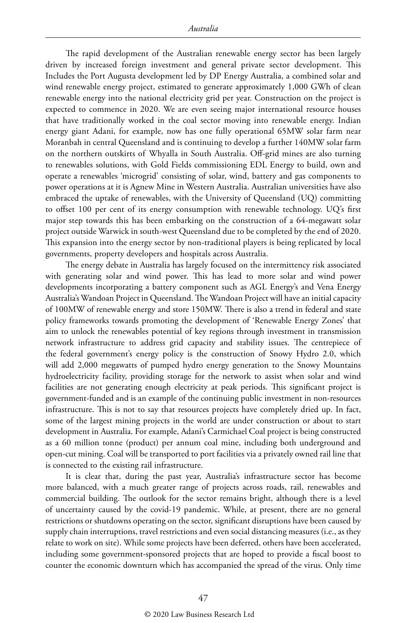The rapid development of the Australian renewable energy sector has been largely driven by increased foreign investment and general private sector development. This Includes the Port Augusta development led by DP Energy Australia, a combined solar and wind renewable energy project, estimated to generate approximately 1,000 GWh of clean renewable energy into the national electricity grid per year. Construction on the project is expected to commence in 2020. We are even seeing major international resource houses that have traditionally worked in the coal sector moving into renewable energy. Indian energy giant Adani, for example, now has one fully operational 65MW solar farm near Moranbah in central Queensland and is continuing to develop a further 140MW solar farm on the northern outskirts of Whyalla in South Australia. Off-grid mines are also turning to renewables solutions, with Gold Fields commissioning EDL Energy to build, own and operate a renewables 'microgrid' consisting of solar, wind, battery and gas components to power operations at it is Agnew Mine in Western Australia. Australian universities have also embraced the uptake of renewables, with the University of Queensland (UQ) committing to offset 100 per cent of its energy consumption with renewable technology. UQ's first major step towards this has been embarking on the construction of a 64-megawatt solar project outside Warwick in south-west Queensland due to be completed by the end of 2020. This expansion into the energy sector by non-traditional players is being replicated by local governments, property developers and hospitals across Australia.

The energy debate in Australia has largely focused on the intermittency risk associated with generating solar and wind power. This has lead to more solar and wind power developments incorporating a battery component such as AGL Energy's and Vena Energy Australia's Wandoan Project in Queensland. The Wandoan Project will have an initial capacity of 100MW of renewable energy and store 150MW. There is also a trend in federal and state policy frameworks towards promoting the development of 'Renewable Energy Zones' that aim to unlock the renewables potential of key regions through investment in transmission network infrastructure to address grid capacity and stability issues. The centrepiece of the federal government's energy policy is the construction of Snowy Hydro 2.0, which will add 2,000 megawatts of pumped hydro energy generation to the Snowy Mountains hydroelectricity facility, providing storage for the network to assist when solar and wind facilities are not generating enough electricity at peak periods. This significant project is government-funded and is an example of the continuing public investment in non-resources infrastructure. This is not to say that resources projects have completely dried up. In fact, some of the largest mining projects in the world are under construction or about to start development in Australia. For example, Adani's Carmichael Coal project is being constructed as a 60 million tonne (product) per annum coal mine, including both underground and open-cut mining. Coal will be transported to port facilities via a privately owned rail line that is connected to the existing rail infrastructure.

It is clear that, during the past year, Australia's infrastructure sector has become more balanced, with a much greater range of projects across roads, rail, renewables and commercial building. The outlook for the sector remains bright, although there is a level of uncertainty caused by the covid-19 pandemic. While, at present, there are no general restrictions or shutdowns operating on the sector, significant disruptions have been caused by supply chain interruptions, travel restrictions and even social distancing measures (i.e., as they relate to work on site). While some projects have been deferred, others have been accelerated, including some government-sponsored projects that are hoped to provide a fiscal boost to counter the economic downturn which has accompanied the spread of the virus. Only time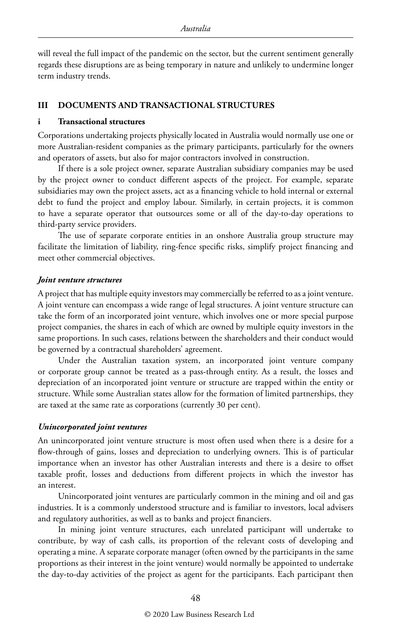will reveal the full impact of the pandemic on the sector, but the current sentiment generally regards these disruptions are as being temporary in nature and unlikely to undermine longer term industry trends.

#### **III DOCUMENTS AND TRANSACTIONAL STRUCTURES**

#### **i Transactional structures**

Corporations undertaking projects physically located in Australia would normally use one or more Australian-resident companies as the primary participants, particularly for the owners and operators of assets, but also for major contractors involved in construction.

If there is a sole project owner, separate Australian subsidiary companies may be used by the project owner to conduct different aspects of the project. For example, separate subsidiaries may own the project assets, act as a financing vehicle to hold internal or external debt to fund the project and employ labour. Similarly, in certain projects, it is common to have a separate operator that outsources some or all of the day-to-day operations to third-party service providers.

The use of separate corporate entities in an onshore Australia group structure may facilitate the limitation of liability, ring-fence specific risks, simplify project financing and meet other commercial objectives.

#### *Joint venture structures*

A project that has multiple equity investors may commercially be referred to as a joint venture. A joint venture can encompass a wide range of legal structures. A joint venture structure can take the form of an incorporated joint venture, which involves one or more special purpose project companies, the shares in each of which are owned by multiple equity investors in the same proportions. In such cases, relations between the shareholders and their conduct would be governed by a contractual shareholders' agreement.

Under the Australian taxation system, an incorporated joint venture company or corporate group cannot be treated as a pass-through entity. As a result, the losses and depreciation of an incorporated joint venture or structure are trapped within the entity or structure. While some Australian states allow for the formation of limited partnerships, they are taxed at the same rate as corporations (currently 30 per cent).

#### *Unincorporated joint ventures*

An unincorporated joint venture structure is most often used when there is a desire for a flow-through of gains, losses and depreciation to underlying owners. This is of particular importance when an investor has other Australian interests and there is a desire to offset taxable profit, losses and deductions from different projects in which the investor has an interest.

Unincorporated joint ventures are particularly common in the mining and oil and gas industries. It is a commonly understood structure and is familiar to investors, local advisers and regulatory authorities, as well as to banks and project financiers.

In mining joint venture structures, each unrelated participant will undertake to contribute, by way of cash calls, its proportion of the relevant costs of developing and operating a mine. A separate corporate manager (often owned by the participants in the same proportions as their interest in the joint venture) would normally be appointed to undertake the day-to-day activities of the project as agent for the participants. Each participant then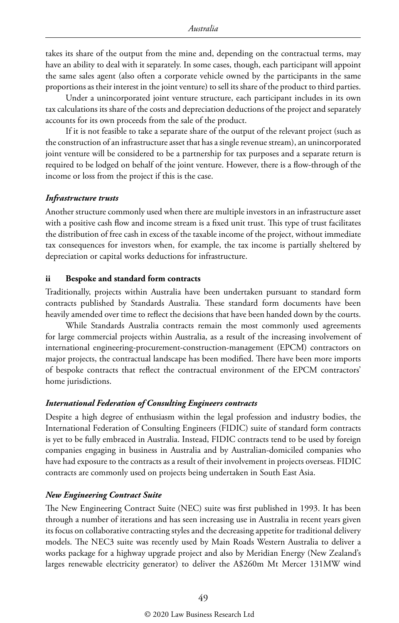takes its share of the output from the mine and, depending on the contractual terms, may have an ability to deal with it separately. In some cases, though, each participant will appoint the same sales agent (also often a corporate vehicle owned by the participants in the same proportions as their interest in the joint venture) to sell its share of the product to third parties.

Under a unincorporated joint venture structure, each participant includes in its own tax calculations its share of the costs and depreciation deductions of the project and separately accounts for its own proceeds from the sale of the product.

If it is not feasible to take a separate share of the output of the relevant project (such as the construction of an infrastructure asset that has a single revenue stream), an unincorporated joint venture will be considered to be a partnership for tax purposes and a separate return is required to be lodged on behalf of the joint venture. However, there is a flow-through of the income or loss from the project if this is the case.

#### *Infrastructure trusts*

Another structure commonly used when there are multiple investors in an infrastructure asset with a positive cash flow and income stream is a fixed unit trust. This type of trust facilitates the distribution of free cash in excess of the taxable income of the project, without immediate tax consequences for investors when, for example, the tax income is partially sheltered by depreciation or capital works deductions for infrastructure.

#### **ii Bespoke and standard form contracts**

Traditionally, projects within Australia have been undertaken pursuant to standard form contracts published by Standards Australia. These standard form documents have been heavily amended over time to reflect the decisions that have been handed down by the courts.

While Standards Australia contracts remain the most commonly used agreements for large commercial projects within Australia, as a result of the increasing involvement of international engineering-procurement-construction-management (EPCM) contractors on major projects, the contractual landscape has been modified. There have been more imports of bespoke contracts that reflect the contractual environment of the EPCM contractors' home jurisdictions.

#### *International Federation of Consulting Engineers contracts*

Despite a high degree of enthusiasm within the legal profession and industry bodies, the International Federation of Consulting Engineers (FIDIC) suite of standard form contracts is yet to be fully embraced in Australia. Instead, FIDIC contracts tend to be used by foreign companies engaging in business in Australia and by Australian-domiciled companies who have had exposure to the contracts as a result of their involvement in projects overseas. FIDIC contracts are commonly used on projects being undertaken in South East Asia.

#### *New Engineering Contract Suite*

The New Engineering Contract Suite (NEC) suite was first published in 1993. It has been through a number of iterations and has seen increasing use in Australia in recent years given its focus on collaborative contracting styles and the decreasing appetite for traditional delivery models. The NEC3 suite was recently used by Main Roads Western Australia to deliver a works package for a highway upgrade project and also by Meridian Energy (New Zealand's larges renewable electricity generator) to deliver the A\$260m Mt Mercer 131MW wind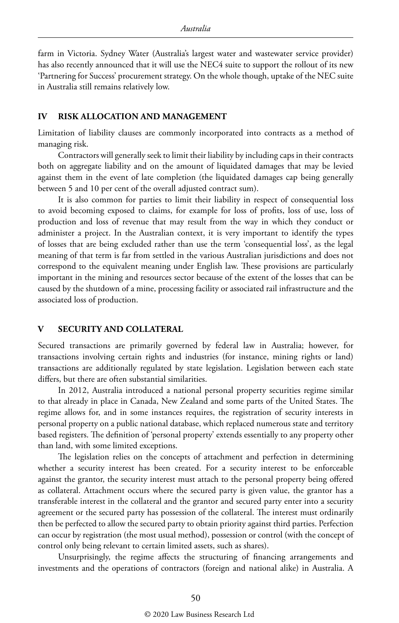farm in Victoria. Sydney Water (Australia's largest water and wastewater service provider) has also recently announced that it will use the NEC4 suite to support the rollout of its new 'Partnering for Success' procurement strategy. On the whole though, uptake of the NEC suite in Australia still remains relatively low.

#### **IV RISK ALLOCATION AND MANAGEMENT**

Limitation of liability clauses are commonly incorporated into contracts as a method of managing risk.

Contractors will generally seek to limit their liability by including caps in their contracts both on aggregate liability and on the amount of liquidated damages that may be levied against them in the event of late completion (the liquidated damages cap being generally between 5 and 10 per cent of the overall adjusted contract sum).

It is also common for parties to limit their liability in respect of consequential loss to avoid becoming exposed to claims, for example for loss of profits, loss of use, loss of production and loss of revenue that may result from the way in which they conduct or administer a project. In the Australian context, it is very important to identify the types of losses that are being excluded rather than use the term 'consequential loss', as the legal meaning of that term is far from settled in the various Australian jurisdictions and does not correspond to the equivalent meaning under English law. These provisions are particularly important in the mining and resources sector because of the extent of the losses that can be caused by the shutdown of a mine, processing facility or associated rail infrastructure and the associated loss of production.

#### **V SECURITY AND COLLATERAL**

Secured transactions are primarily governed by federal law in Australia; however, for transactions involving certain rights and industries (for instance, mining rights or land) transactions are additionally regulated by state legislation. Legislation between each state differs, but there are often substantial similarities.

In 2012, Australia introduced a national personal property securities regime similar to that already in place in Canada, New Zealand and some parts of the United States. The regime allows for, and in some instances requires, the registration of security interests in personal property on a public national database, which replaced numerous state and territory based registers. The definition of 'personal property' extends essentially to any property other than land, with some limited exceptions.

The legislation relies on the concepts of attachment and perfection in determining whether a security interest has been created. For a security interest to be enforceable against the grantor, the security interest must attach to the personal property being offered as collateral. Attachment occurs where the secured party is given value, the grantor has a transferable interest in the collateral and the grantor and secured party enter into a security agreement or the secured party has possession of the collateral. The interest must ordinarily then be perfected to allow the secured party to obtain priority against third parties. Perfection can occur by registration (the most usual method), possession or control (with the concept of control only being relevant to certain limited assets, such as shares).

Unsurprisingly, the regime affects the structuring of financing arrangements and investments and the operations of contractors (foreign and national alike) in Australia. A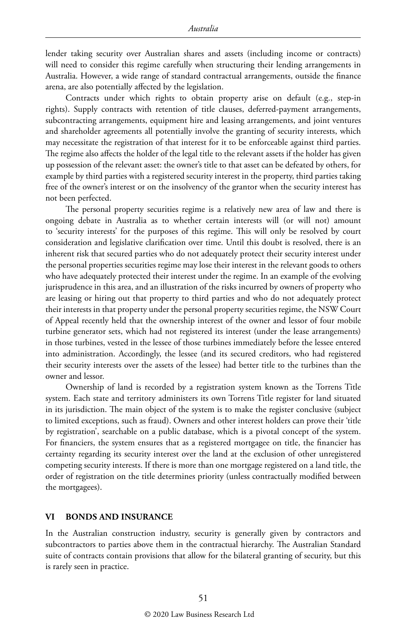lender taking security over Australian shares and assets (including income or contracts) will need to consider this regime carefully when structuring their lending arrangements in Australia. However, a wide range of standard contractual arrangements, outside the finance arena, are also potentially affected by the legislation.

Contracts under which rights to obtain property arise on default (e.g., step-in rights). Supply contracts with retention of title clauses, deferred-payment arrangements, subcontracting arrangements, equipment hire and leasing arrangements, and joint ventures and shareholder agreements all potentially involve the granting of security interests, which may necessitate the registration of that interest for it to be enforceable against third parties. The regime also affects the holder of the legal title to the relevant assets if the holder has given up possession of the relevant asset: the owner's title to that asset can be defeated by others, for example by third parties with a registered security interest in the property, third parties taking free of the owner's interest or on the insolvency of the grantor when the security interest has not been perfected.

The personal property securities regime is a relatively new area of law and there is ongoing debate in Australia as to whether certain interests will (or will not) amount to 'security interests' for the purposes of this regime. This will only be resolved by court consideration and legislative clarification over time. Until this doubt is resolved, there is an inherent risk that secured parties who do not adequately protect their security interest under the personal properties securities regime may lose their interest in the relevant goods to others who have adequately protected their interest under the regime. In an example of the evolving jurisprudence in this area, and an illustration of the risks incurred by owners of property who are leasing or hiring out that property to third parties and who do not adequately protect their interests in that property under the personal property securities regime, the NSW Court of Appeal recently held that the ownership interest of the owner and lessor of four mobile turbine generator sets, which had not registered its interest (under the lease arrangements) in those turbines, vested in the lessee of those turbines immediately before the lessee entered into administration. Accordingly, the lessee (and its secured creditors, who had registered their security interests over the assets of the lessee) had better title to the turbines than the owner and lessor.

Ownership of land is recorded by a registration system known as the Torrens Title system. Each state and territory administers its own Torrens Title register for land situated in its jurisdiction. The main object of the system is to make the register conclusive (subject to limited exceptions, such as fraud). Owners and other interest holders can prove their 'title by registration', searchable on a public database, which is a pivotal concept of the system. For financiers, the system ensures that as a registered mortgagee on title, the financier has certainty regarding its security interest over the land at the exclusion of other unregistered competing security interests. If there is more than one mortgage registered on a land title, the order of registration on the title determines priority (unless contractually modified between the mortgagees).

#### **VI BONDS AND INSURANCE**

In the Australian construction industry, security is generally given by contractors and subcontractors to parties above them in the contractual hierarchy. The Australian Standard suite of contracts contain provisions that allow for the bilateral granting of security, but this is rarely seen in practice.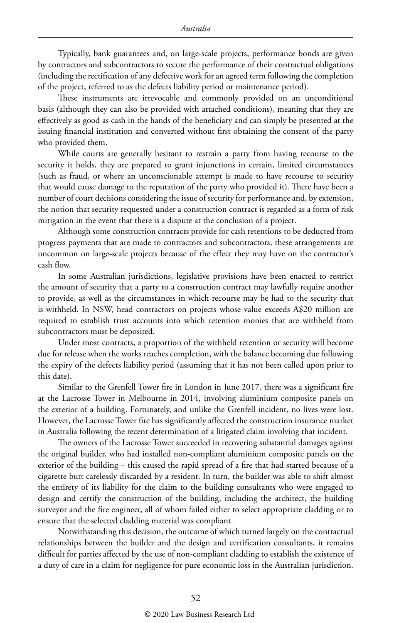Typically, bank guarantees and, on large-scale projects, performance bonds are given by contractors and subcontractors to secure the performance of their contractual obligations (including the rectification of any defective work for an agreed term following the completion of the project, referred to as the defects liability period or maintenance period).

These instruments are irrevocable and commonly provided on an unconditional basis (although they can also be provided with attached conditions), meaning that they are effectively as good as cash in the hands of the beneficiary and can simply be presented at the issuing financial institution and converted without first obtaining the consent of the party who provided them.

While courts are generally hesitant to restrain a party from having recourse to the security it holds, they are prepared to grant injunctions in certain, limited circumstances (such as fraud, or where an unconscionable attempt is made to have recourse to security that would cause damage to the reputation of the party who provided it). There have been a number of court decisions considering the issue of security for performance and, by extension, the notion that security requested under a construction contract is regarded as a form of risk mitigation in the event that there is a dispute at the conclusion of a project.

Although some construction contracts provide for cash retentions to be deducted from progress payments that are made to contractors and subcontractors, these arrangements are uncommon on large-scale projects because of the effect they may have on the contractor's cash flow.

In some Australian jurisdictions, legislative provisions have been enacted to restrict the amount of security that a party to a construction contract may lawfully require another to provide, as well as the circumstances in which recourse may be had to the security that is withheld. In NSW, head contractors on projects whose value exceeds A\$20 million are required to establish trust accounts into which retention monies that are withheld from subcontractors must be deposited.

Under most contracts, a proportion of the withheld retention or security will become due for release when the works reaches completion, with the balance becoming due following the expiry of the defects liability period (assuming that it has not been called upon prior to this date).

Similar to the Grenfell Tower fire in London in June 2017, there was a significant fire at the Lacrosse Tower in Melbourne in 2014, involving aluminium composite panels on the exterior of a building. Fortunately, and unlike the Grenfell incident, no lives were lost. However, the Lacrosse Tower fire has significantly affected the construction insurance market in Australia following the recent determination of a litigated claim involving that incident.

The owners of the Lacrosse Tower succeeded in recovering substantial damages against the original builder, who had installed non-compliant aluminium composite panels on the exterior of the building – this caused the rapid spread of a fire that had started because of a cigarette butt carelessly discarded by a resident. In turn, the builder was able to shift almost the entirety of its liability for the claim to the building consultants who were engaged to design and certify the construction of the building, including the architect, the building surveyor and the fire engineer, all of whom failed either to select appropriate cladding or to ensure that the selected cladding material was compliant.

Notwithstanding this decision, the outcome of which turned largely on the contractual relationships between the builder and the design and certification consultants, it remains difficult for parties affected by the use of non-compliant cladding to establish the existence of a duty of care in a claim for negligence for pure economic loss in the Australian jurisdiction.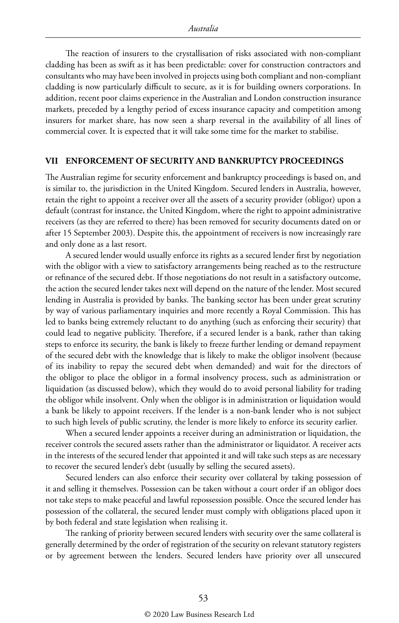The reaction of insurers to the crystallisation of risks associated with non-compliant cladding has been as swift as it has been predictable: cover for construction contractors and consultants who may have been involved in projects using both compliant and non-compliant cladding is now particularly difficult to secure, as it is for building owners corporations. In addition, recent poor claims experience in the Australian and London construction insurance markets, preceded by a lengthy period of excess insurance capacity and competition among insurers for market share, has now seen a sharp reversal in the availability of all lines of commercial cover. It is expected that it will take some time for the market to stabilise.

#### **VII ENFORCEMENT OF SECURITY AND BANKRUPTCY PROCEEDINGS**

The Australian regime for security enforcement and bankruptcy proceedings is based on, and is similar to, the jurisdiction in the United Kingdom. Secured lenders in Australia, however, retain the right to appoint a receiver over all the assets of a security provider (obligor) upon a default (contrast for instance, the United Kingdom, where the right to appoint administrative receivers (as they are referred to there) has been removed for security documents dated on or after 15 September 2003). Despite this, the appointment of receivers is now increasingly rare and only done as a last resort.

A secured lender would usually enforce its rights as a secured lender first by negotiation with the obligor with a view to satisfactory arrangements being reached as to the restructure or refinance of the secured debt. If those negotiations do not result in a satisfactory outcome, the action the secured lender takes next will depend on the nature of the lender. Most secured lending in Australia is provided by banks. The banking sector has been under great scrutiny by way of various parliamentary inquiries and more recently a Royal Commission. This has led to banks being extremely reluctant to do anything (such as enforcing their security) that could lead to negative publicity. Therefore, if a secured lender is a bank, rather than taking steps to enforce its security, the bank is likely to freeze further lending or demand repayment of the secured debt with the knowledge that is likely to make the obligor insolvent (because of its inability to repay the secured debt when demanded) and wait for the directors of the obligor to place the obligor in a formal insolvency process, such as administration or liquidation (as discussed below), which they would do to avoid personal liability for trading the obligor while insolvent. Only when the obligor is in administration or liquidation would a bank be likely to appoint receivers. If the lender is a non-bank lender who is not subject to such high levels of public scrutiny, the lender is more likely to enforce its security earlier.

When a secured lender appoints a receiver during an administration or liquidation, the receiver controls the secured assets rather than the administrator or liquidator. A receiver acts in the interests of the secured lender that appointed it and will take such steps as are necessary to recover the secured lender's debt (usually by selling the secured assets).

Secured lenders can also enforce their security over collateral by taking possession of it and selling it themselves. Possession can be taken without a court order if an obligor does not take steps to make peaceful and lawful repossession possible. Once the secured lender has possession of the collateral, the secured lender must comply with obligations placed upon it by both federal and state legislation when realising it.

The ranking of priority between secured lenders with security over the same collateral is generally determined by the order of registration of the security on relevant statutory registers or by agreement between the lenders. Secured lenders have priority over all unsecured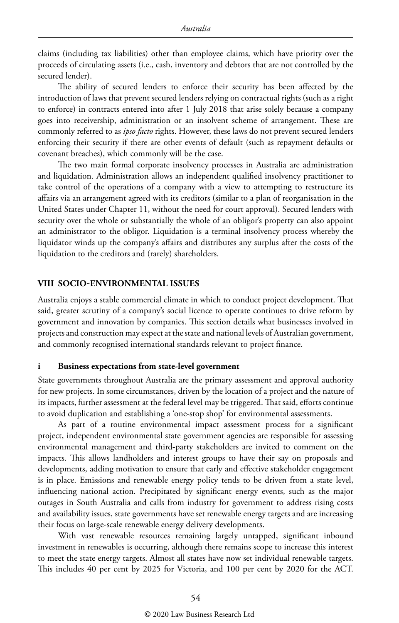claims (including tax liabilities) other than employee claims, which have priority over the proceeds of circulating assets (i.e., cash, inventory and debtors that are not controlled by the secured lender).

The ability of secured lenders to enforce their security has been affected by the introduction of laws that prevent secured lenders relying on contractual rights (such as a right to enforce) in contracts entered into after 1 July 2018 that arise solely because a company goes into receivership, administration or an insolvent scheme of arrangement. These are commonly referred to as *ipso facto* rights. However, these laws do not prevent secured lenders enforcing their security if there are other events of default (such as repayment defaults or covenant breaches), which commonly will be the case.

The two main formal corporate insolvency processes in Australia are administration and liquidation. Administration allows an independent qualified insolvency practitioner to take control of the operations of a company with a view to attempting to restructure its affairs via an arrangement agreed with its creditors (similar to a plan of reorganisation in the United States under Chapter 11, without the need for court approval). Secured lenders with security over the whole or substantially the whole of an obligor's property can also appoint an administrator to the obligor. Liquidation is a terminal insolvency process whereby the liquidator winds up the company's affairs and distributes any surplus after the costs of the liquidation to the creditors and (rarely) shareholders.

#### **VIII SOCIO-ENVIRONMENTAL ISSUES**

Australia enjoys a stable commercial climate in which to conduct project development. That said, greater scrutiny of a company's social licence to operate continues to drive reform by government and innovation by companies. This section details what businesses involved in projects and construction may expect at the state and national levels of Australian government, and commonly recognised international standards relevant to project finance.

#### **i Business expectations from state-level government**

State governments throughout Australia are the primary assessment and approval authority for new projects. In some circumstances, driven by the location of a project and the nature of its impacts, further assessment at the federal level may be triggered. That said, efforts continue to avoid duplication and establishing a 'one-stop shop' for environmental assessments.

As part of a routine environmental impact assessment process for a significant project, independent environmental state government agencies are responsible for assessing environmental management and third-party stakeholders are invited to comment on the impacts. This allows landholders and interest groups to have their say on proposals and developments, adding motivation to ensure that early and effective stakeholder engagement is in place. Emissions and renewable energy policy tends to be driven from a state level, influencing national action. Precipitated by significant energy events, such as the major outages in South Australia and calls from industry for government to address rising costs and availability issues, state governments have set renewable energy targets and are increasing their focus on large-scale renewable energy delivery developments.

With vast renewable resources remaining largely untapped, significant inbound investment in renewables is occurring, although there remains scope to increase this interest to meet the state energy targets. Almost all states have now set individual renewable targets. This includes 40 per cent by 2025 for Victoria, and 100 per cent by 2020 for the ACT.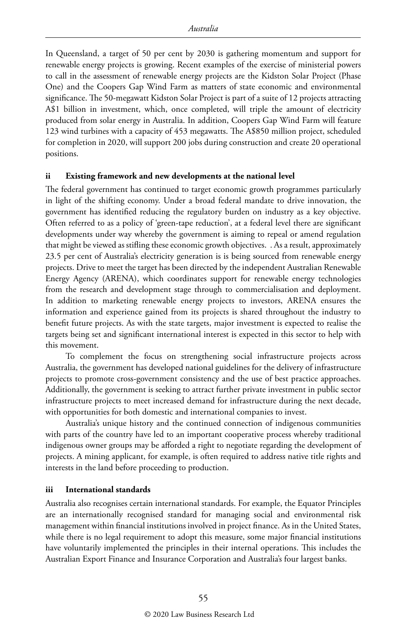In Queensland, a target of 50 per cent by 2030 is gathering momentum and support for renewable energy projects is growing. Recent examples of the exercise of ministerial powers to call in the assessment of renewable energy projects are the Kidston Solar Project (Phase One) and the Coopers Gap Wind Farm as matters of state economic and environmental significance. The 50-megawatt Kidston Solar Project is part of a suite of 12 projects attracting A\$1 billion in investment, which, once completed, will triple the amount of electricity produced from solar energy in Australia. In addition, Coopers Gap Wind Farm will feature 123 wind turbines with a capacity of 453 megawatts. The A\$850 million project, scheduled for completion in 2020, will support 200 jobs during construction and create 20 operational positions.

#### **ii Existing framework and new developments at the national level**

The federal government has continued to target economic growth programmes particularly in light of the shifting economy. Under a broad federal mandate to drive innovation, the government has identified reducing the regulatory burden on industry as a key objective. Often referred to as a policy of 'green-tape reduction', at a federal level there are significant developments under way whereby the government is aiming to repeal or amend regulation that might be viewed as stifling these economic growth objectives. . As a result, approximately 23.5 per cent of Australia's electricity generation is is being sourced from renewable energy projects. Drive to meet the target has been directed by the independent Australian Renewable Energy Agency (ARENA), which coordinates support for renewable energy technologies from the research and development stage through to commercialisation and deployment. In addition to marketing renewable energy projects to investors, ARENA ensures the information and experience gained from its projects is shared throughout the industry to benefit future projects. As with the state targets, major investment is expected to realise the targets being set and significant international interest is expected in this sector to help with this movement.

To complement the focus on strengthening social infrastructure projects across Australia, the government has developed national guidelines for the delivery of infrastructure projects to promote cross-government consistency and the use of best practice approaches. Additionally, the government is seeking to attract further private investment in public sector infrastructure projects to meet increased demand for infrastructure during the next decade, with opportunities for both domestic and international companies to invest.

Australia's unique history and the continued connection of indigenous communities with parts of the country have led to an important cooperative process whereby traditional indigenous owner groups may be afforded a right to negotiate regarding the development of projects. A mining applicant, for example, is often required to address native title rights and interests in the land before proceeding to production.

#### **iii International standards**

Australia also recognises certain international standards. For example, the Equator Principles are an internationally recognised standard for managing social and environmental risk management within financial institutions involved in project finance. As in the United States, while there is no legal requirement to adopt this measure, some major financial institutions have voluntarily implemented the principles in their internal operations. This includes the Australian Export Finance and Insurance Corporation and Australia's four largest banks.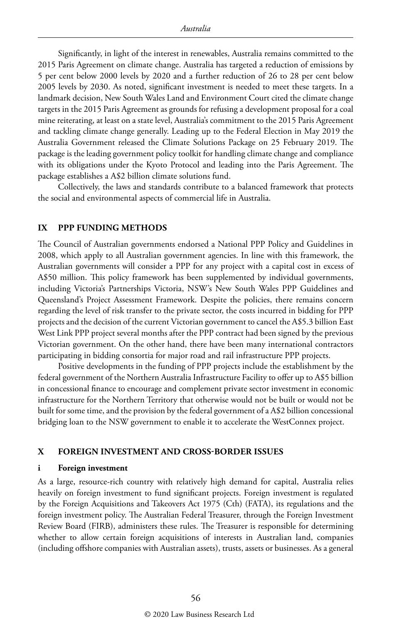Significantly, in light of the interest in renewables, Australia remains committed to the 2015 Paris Agreement on climate change. Australia has targeted a reduction of emissions by 5 per cent below 2000 levels by 2020 and a further reduction of 26 to 28 per cent below 2005 levels by 2030. As noted, significant investment is needed to meet these targets. In a landmark decision, New South Wales Land and Environment Court cited the climate change targets in the 2015 Paris Agreement as grounds for refusing a development proposal for a coal mine reiterating, at least on a state level, Australia's commitment to the 2015 Paris Agreement and tackling climate change generally. Leading up to the Federal Election in May 2019 the Australia Government released the Climate Solutions Package on 25 February 2019. The package is the leading government policy toolkit for handling climate change and compliance with its obligations under the Kyoto Protocol and leading into the Paris Agreement. The package establishes a A\$2 billion climate solutions fund.

Collectively, the laws and standards contribute to a balanced framework that protects the social and environmental aspects of commercial life in Australia.

#### **IX PPP FUNDING METHODS**

The Council of Australian governments endorsed a National PPP Policy and Guidelines in 2008, which apply to all Australian government agencies. In line with this framework, the Australian governments will consider a PPP for any project with a capital cost in excess of A\$50 million. This policy framework has been supplemented by individual governments, including Victoria's Partnerships Victoria, NSW's New South Wales PPP Guidelines and Queensland's Project Assessment Framework. Despite the policies, there remains concern regarding the level of risk transfer to the private sector, the costs incurred in bidding for PPP projects and the decision of the current Victorian government to cancel the A\$5.3 billion East West Link PPP project several months after the PPP contract had been signed by the previous Victorian government. On the other hand, there have been many international contractors participating in bidding consortia for major road and rail infrastructure PPP projects.

Positive developments in the funding of PPP projects include the establishment by the federal government of the Northern Australia Infrastructure Facility to offer up to A\$5 billion in concessional finance to encourage and complement private sector investment in economic infrastructure for the Northern Territory that otherwise would not be built or would not be built for some time, and the provision by the federal government of a A\$2 billion concessional bridging loan to the NSW government to enable it to accelerate the WestConnex project.

#### **X FOREIGN INVESTMENT AND CROSS-BORDER ISSUES**

#### **i Foreign investment**

As a large, resource-rich country with relatively high demand for capital, Australia relies heavily on foreign investment to fund significant projects. Foreign investment is regulated by the Foreign Acquisitions and Takeovers Act 1975 (Cth) (FATA), its regulations and the foreign investment policy. The Australian Federal Treasurer, through the Foreign Investment Review Board (FIRB), administers these rules. The Treasurer is responsible for determining whether to allow certain foreign acquisitions of interests in Australian land, companies (including offshore companies with Australian assets), trusts, assets or businesses. As a general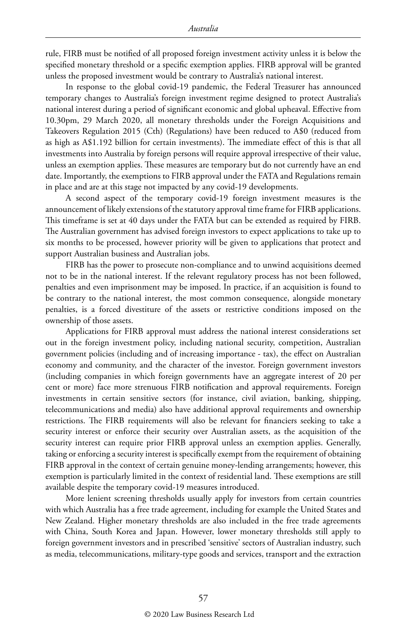rule, FIRB must be notified of all proposed foreign investment activity unless it is below the specified monetary threshold or a specific exemption applies. FIRB approval will be granted unless the proposed investment would be contrary to Australia's national interest.

In response to the global covid-19 pandemic, the Federal Treasurer has announced temporary changes to Australia's foreign investment regime designed to protect Australia's national interest during a period of significant economic and global upheaval. Effective from 10.30pm, 29 March 2020, all monetary thresholds under the Foreign Acquisitions and Takeovers Regulation 2015 (Cth) (Regulations) have been reduced to A\$0 (reduced from as high as A\$1.192 billion for certain investments). The immediate effect of this is that all investments into Australia by foreign persons will require approval irrespective of their value, unless an exemption applies. These measures are temporary but do not currently have an end date. Importantly, the exemptions to FIRB approval under the FATA and Regulations remain in place and are at this stage not impacted by any covid-19 developments.

A second aspect of the temporary covid-19 foreign investment measures is the announcement of likely extensions of the statutory approval time frame for FIRB applications. This timeframe is set at 40 days under the FATA but can be extended as required by FIRB. The Australian government has advised foreign investors to expect applications to take up to six months to be processed, however priority will be given to applications that protect and support Australian business and Australian jobs.

FIRB has the power to prosecute non-compliance and to unwind acquisitions deemed not to be in the national interest. If the relevant regulatory process has not been followed, penalties and even imprisonment may be imposed. In practice, if an acquisition is found to be contrary to the national interest, the most common consequence, alongside monetary penalties, is a forced divestiture of the assets or restrictive conditions imposed on the ownership of those assets.

Applications for FIRB approval must address the national interest considerations set out in the foreign investment policy, including national security, competition, Australian government policies (including and of increasing importance - tax), the effect on Australian economy and community, and the character of the investor. Foreign government investors (including companies in which foreign governments have an aggregate interest of 20 per cent or more) face more strenuous FIRB notification and approval requirements. Foreign investments in certain sensitive sectors (for instance, civil aviation, banking, shipping, telecommunications and media) also have additional approval requirements and ownership restrictions. The FIRB requirements will also be relevant for financiers seeking to take a security interest or enforce their security over Australian assets, as the acquisition of the security interest can require prior FIRB approval unless an exemption applies. Generally, taking or enforcing a security interest is specifically exempt from the requirement of obtaining FIRB approval in the context of certain genuine money-lending arrangements; however, this exemption is particularly limited in the context of residential land. These exemptions are still available despite the temporary covid-19 measures introduced.

More lenient screening thresholds usually apply for investors from certain countries with which Australia has a free trade agreement, including for example the United States and New Zealand. Higher monetary thresholds are also included in the free trade agreements with China, South Korea and Japan. However, lower monetary thresholds still apply to foreign government investors and in prescribed 'sensitive' sectors of Australian industry, such as media, telecommunications, military-type goods and services, transport and the extraction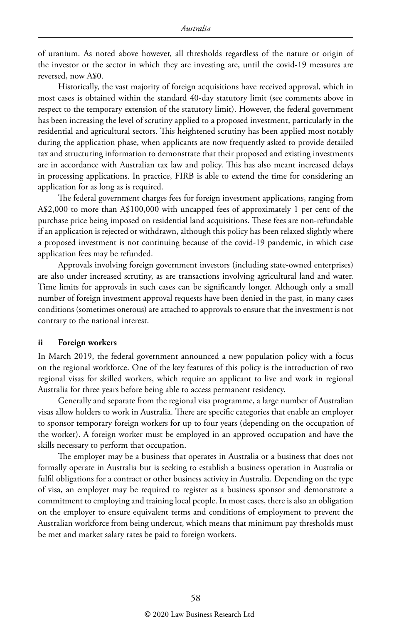of uranium. As noted above however, all thresholds regardless of the nature or origin of the investor or the sector in which they are investing are, until the covid-19 measures are reversed, now A\$0.

Historically, the vast majority of foreign acquisitions have received approval, which in most cases is obtained within the standard 40-day statutory limit (see comments above in respect to the temporary extension of the statutory limit). However, the federal government has been increasing the level of scrutiny applied to a proposed investment, particularly in the residential and agricultural sectors. This heightened scrutiny has been applied most notably during the application phase, when applicants are now frequently asked to provide detailed tax and structuring information to demonstrate that their proposed and existing investments are in accordance with Australian tax law and policy. This has also meant increased delays in processing applications. In practice, FIRB is able to extend the time for considering an application for as long as is required.

The federal government charges fees for foreign investment applications, ranging from A\$2,000 to more than A\$100,000 with uncapped fees of approximately 1 per cent of the purchase price being imposed on residential land acquisitions. These fees are non-refundable if an application is rejected or withdrawn, although this policy has been relaxed slightly where a proposed investment is not continuing because of the covid-19 pandemic, in which case application fees may be refunded.

Approvals involving foreign government investors (including state-owned enterprises) are also under increased scrutiny, as are transactions involving agricultural land and water. Time limits for approvals in such cases can be significantly longer. Although only a small number of foreign investment approval requests have been denied in the past, in many cases conditions (sometimes onerous) are attached to approvals to ensure that the investment is not contrary to the national interest.

#### **ii Foreign workers**

In March 2019, the federal government announced a new population policy with a focus on the regional workforce. One of the key features of this policy is the introduction of two regional visas for skilled workers, which require an applicant to live and work in regional Australia for three years before being able to access permanent residency.

Generally and separate from the regional visa programme, a large number of Australian visas allow holders to work in Australia. There are specific categories that enable an employer to sponsor temporary foreign workers for up to four years (depending on the occupation of the worker). A foreign worker must be employed in an approved occupation and have the skills necessary to perform that occupation.

The employer may be a business that operates in Australia or a business that does not formally operate in Australia but is seeking to establish a business operation in Australia or fulfil obligations for a contract or other business activity in Australia. Depending on the type of visa, an employer may be required to register as a business sponsor and demonstrate a commitment to employing and training local people. In most cases, there is also an obligation on the employer to ensure equivalent terms and conditions of employment to prevent the Australian workforce from being undercut, which means that minimum pay thresholds must be met and market salary rates be paid to foreign workers.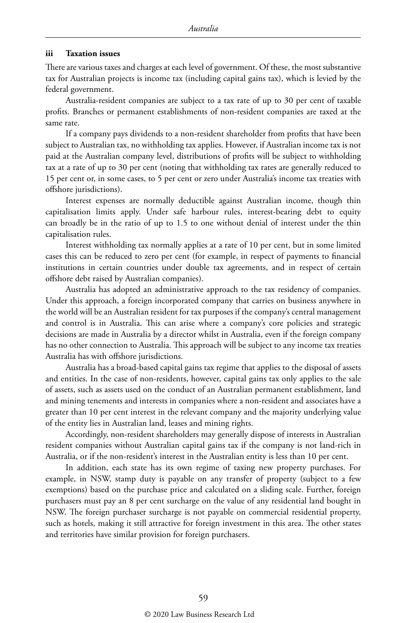#### **iii Taxation issues**

There are various taxes and charges at each level of government. Of these, the most substantive tax for Australian projects is income tax (including capital gains tax), which is levied by the federal government.

Australia-resident companies are subject to a tax rate of up to 30 per cent of taxable profits. Branches or permanent establishments of non-resident companies are taxed at the same rate.

If a company pays dividends to a non-resident shareholder from profits that have been subject to Australian tax, no withholding tax applies. However, if Australian income tax is not paid at the Australian company level, distributions of profits will be subject to withholding tax at a rate of up to 30 per cent (noting that withholding tax rates are generally reduced to 15 per cent or, in some cases, to 5 per cent or zero under Australia's income tax treaties with offshore jurisdictions).

Interest expenses are normally deductible against Australian income, though thin capitalisation limits apply. Under safe harbour rules, interest-bearing debt to equity can broadly be in the ratio of up to 1.5 to one without denial of interest under the thin capitalisation rules.

Interest withholding tax normally applies at a rate of 10 per cent, but in some limited cases this can be reduced to zero per cent (for example, in respect of payments to financial institutions in certain countries under double tax agreements, and in respect of certain offshore debt raised by Australian companies).

Australia has adopted an administrative approach to the tax residency of companies. Under this approach, a foreign incorporated company that carries on business anywhere in the world will be an Australian resident for tax purposes if the company's central management and control is in Australia. This can arise where a company's core policies and strategic decisions are made in Australia by a director whilst in Australia, even if the foreign company has no other connection to Australia. This approach will be subject to any income tax treaties Australia has with offshore jurisdictions.

Australia has a broad-based capital gains tax regime that applies to the disposal of assets and entities. In the case of non-residents, however, capital gains tax only applies to the sale of assets, such as assets used on the conduct of an Australian permanent establishment, land and mining tenements and interests in companies where a non-resident and associates have a greater than 10 per cent interest in the relevant company and the majority underlying value of the entity lies in Australian land, leases and mining rights.

Accordingly, non-resident shareholders may generally dispose of interests in Australian resident companies without Australian capital gains tax if the company is not land-rich in Australia, or if the non-resident's interest in the Australian entity is less than 10 per cent.

In addition, each state has its own regime of taxing new property purchases. For example, in NSW, stamp duty is payable on any transfer of property (subject to a few exemptions) based on the purchase price and calculated on a sliding scale. Further, foreign purchasers must pay an 8 per cent surcharge on the value of any residential land bought in NSW. The foreign purchaser surcharge is not payable on commercial residential property, such as hotels, making it still attractive for foreign investment in this area. The other states and territories have similar provision for foreign purchasers.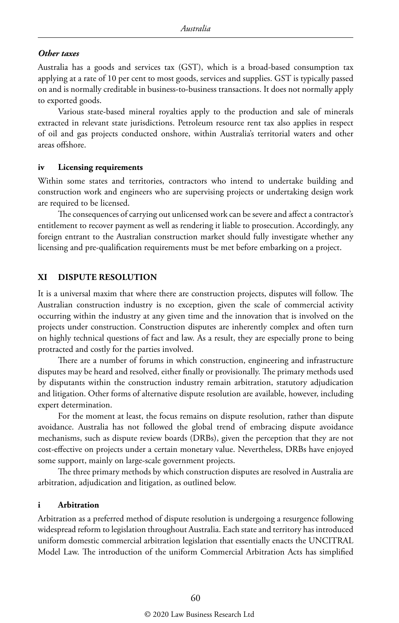#### *Other taxes*

Australia has a goods and services tax (GST), which is a broad-based consumption tax applying at a rate of 10 per cent to most goods, services and supplies. GST is typically passed on and is normally creditable in business-to-business transactions. It does not normally apply to exported goods.

Various state-based mineral royalties apply to the production and sale of minerals extracted in relevant state jurisdictions. Petroleum resource rent tax also applies in respect of oil and gas projects conducted onshore, within Australia's territorial waters and other areas offshore.

#### **iv Licensing requirements**

Within some states and territories, contractors who intend to undertake building and construction work and engineers who are supervising projects or undertaking design work are required to be licensed.

The consequences of carrying out unlicensed work can be severe and affect a contractor's entitlement to recover payment as well as rendering it liable to prosecution. Accordingly, any foreign entrant to the Australian construction market should fully investigate whether any licensing and pre-qualification requirements must be met before embarking on a project.

#### **XI DISPUTE RESOLUTION**

It is a universal maxim that where there are construction projects, disputes will follow. The Australian construction industry is no exception, given the scale of commercial activity occurring within the industry at any given time and the innovation that is involved on the projects under construction. Construction disputes are inherently complex and often turn on highly technical questions of fact and law. As a result, they are especially prone to being protracted and costly for the parties involved.

There are a number of forums in which construction, engineering and infrastructure disputes may be heard and resolved, either finally or provisionally. The primary methods used by disputants within the construction industry remain arbitration, statutory adjudication and litigation. Other forms of alternative dispute resolution are available, however, including expert determination.

For the moment at least, the focus remains on dispute resolution, rather than dispute avoidance. Australia has not followed the global trend of embracing dispute avoidance mechanisms, such as dispute review boards (DRBs), given the perception that they are not cost-effective on projects under a certain monetary value. Nevertheless, DRBs have enjoyed some support, mainly on large-scale government projects.

The three primary methods by which construction disputes are resolved in Australia are arbitration, adjudication and litigation, as outlined below.

#### **i Arbitration**

Arbitration as a preferred method of dispute resolution is undergoing a resurgence following widespread reform to legislation throughout Australia. Each state and territory has introduced uniform domestic commercial arbitration legislation that essentially enacts the UNCITRAL Model Law. The introduction of the uniform Commercial Arbitration Acts has simplified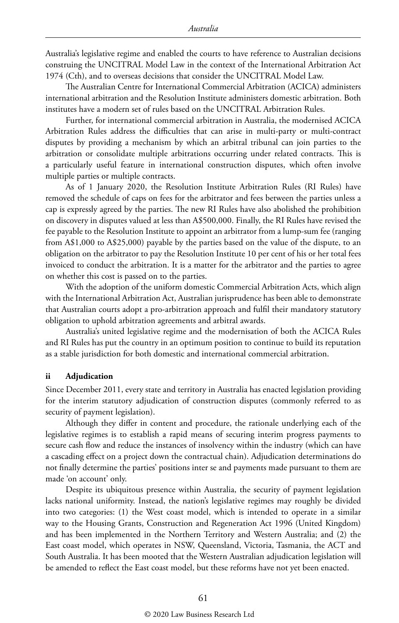Australia's legislative regime and enabled the courts to have reference to Australian decisions construing the UNCITRAL Model Law in the context of the International Arbitration Act 1974 (Cth), and to overseas decisions that consider the UNCITRAL Model Law.

The Australian Centre for International Commercial Arbitration (ACICA) administers international arbitration and the Resolution Institute administers domestic arbitration. Both institutes have a modern set of rules based on the UNCITRAL Arbitration Rules.

Further, for international commercial arbitration in Australia, the modernised ACICA Arbitration Rules address the difficulties that can arise in multi-party or multi-contract disputes by providing a mechanism by which an arbitral tribunal can join parties to the arbitration or consolidate multiple arbitrations occurring under related contracts. This is a particularly useful feature in international construction disputes, which often involve multiple parties or multiple contracts.

As of 1 January 2020, the Resolution Institute Arbitration Rules (RI Rules) have removed the schedule of caps on fees for the arbitrator and fees between the parties unless a cap is expressly agreed by the parties. The new RI Rules have also abolished the prohibition on discovery in disputes valued at less than A\$500,000. Finally, the RI Rules have revised the fee payable to the Resolution Institute to appoint an arbitrator from a lump-sum fee (ranging from A\$1,000 to A\$25,000) payable by the parties based on the value of the dispute, to an obligation on the arbitrator to pay the Resolution Institute 10 per cent of his or her total fees invoiced to conduct the arbitration. It is a matter for the arbitrator and the parties to agree on whether this cost is passed on to the parties.

With the adoption of the uniform domestic Commercial Arbitration Acts, which align with the International Arbitration Act, Australian jurisprudence has been able to demonstrate that Australian courts adopt a pro-arbitration approach and fulfil their mandatory statutory obligation to uphold arbitration agreements and arbitral awards.

Australia's united legislative regime and the modernisation of both the ACICA Rules and RI Rules has put the country in an optimum position to continue to build its reputation as a stable jurisdiction for both domestic and international commercial arbitration.

#### **ii Adjudication**

Since December 2011, every state and territory in Australia has enacted legislation providing for the interim statutory adjudication of construction disputes (commonly referred to as security of payment legislation).

Although they differ in content and procedure, the rationale underlying each of the legislative regimes is to establish a rapid means of securing interim progress payments to secure cash flow and reduce the instances of insolvency within the industry (which can have a cascading effect on a project down the contractual chain). Adjudication determinations do not finally determine the parties' positions inter se and payments made pursuant to them are made 'on account' only.

Despite its ubiquitous presence within Australia, the security of payment legislation lacks national uniformity. Instead, the nation's legislative regimes may roughly be divided into two categories: (1) the West coast model, which is intended to operate in a similar way to the Housing Grants, Construction and Regeneration Act 1996 (United Kingdom) and has been implemented in the Northern Territory and Western Australia; and (2) the East coast model, which operates in NSW, Queensland, Victoria, Tasmania, the ACT and South Australia. It has been mooted that the Western Australian adjudication legislation will be amended to reflect the East coast model, but these reforms have not yet been enacted.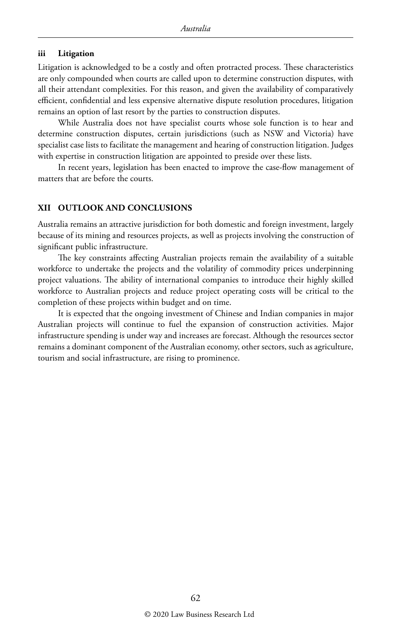#### **iii Litigation**

Litigation is acknowledged to be a costly and often protracted process. These characteristics are only compounded when courts are called upon to determine construction disputes, with all their attendant complexities. For this reason, and given the availability of comparatively efficient, confidential and less expensive alternative dispute resolution procedures, litigation remains an option of last resort by the parties to construction disputes.

While Australia does not have specialist courts whose sole function is to hear and determine construction disputes, certain jurisdictions (such as NSW and Victoria) have specialist case lists to facilitate the management and hearing of construction litigation. Judges with expertise in construction litigation are appointed to preside over these lists.

In recent years, legislation has been enacted to improve the case-flow management of matters that are before the courts.

#### **XII OUTLOOK AND CONCLUSIONS**

Australia remains an attractive jurisdiction for both domestic and foreign investment, largely because of its mining and resources projects, as well as projects involving the construction of significant public infrastructure.

The key constraints affecting Australian projects remain the availability of a suitable workforce to undertake the projects and the volatility of commodity prices underpinning project valuations. The ability of international companies to introduce their highly skilled workforce to Australian projects and reduce project operating costs will be critical to the completion of these projects within budget and on time.

It is expected that the ongoing investment of Chinese and Indian companies in major Australian projects will continue to fuel the expansion of construction activities. Major infrastructure spending is under way and increases are forecast. Although the resources sector remains a dominant component of the Australian economy, other sectors, such as agriculture, tourism and social infrastructure, are rising to prominence.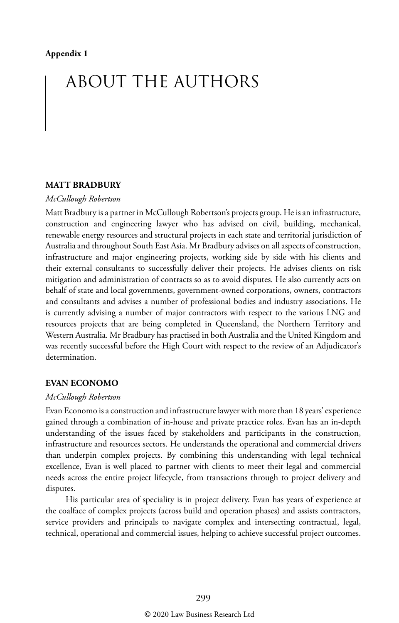## ABOUT THE AUTHORS

#### **MATT BRADBURY**

#### *McCullough Robertson*

Matt Bradbury is a partner in McCullough Robertson's projects group. He is an infrastructure, construction and engineering lawyer who has advised on civil, building, mechanical, renewable energy resources and structural projects in each state and territorial jurisdiction of Australia and throughout South East Asia. Mr Bradbury advises on all aspects of construction, infrastructure and major engineering projects, working side by side with his clients and their external consultants to successfully deliver their projects. He advises clients on risk mitigation and administration of contracts so as to avoid disputes. He also currently acts on behalf of state and local governments, government-owned corporations, owners, contractors and consultants and advises a number of professional bodies and industry associations. He is currently advising a number of major contractors with respect to the various LNG and resources projects that are being completed in Queensland, the Northern Territory and Western Australia. Mr Bradbury has practised in both Australia and the United Kingdom and was recently successful before the High Court with respect to the review of an Adjudicator's determination.

#### **EVAN ECONOMO**

#### *McCullough Robertson*

Evan Economo is a construction and infrastructure lawyer with more than 18 years' experience gained through a combination of in-house and private practice roles. Evan has an in-depth understanding of the issues faced by stakeholders and participants in the construction, infrastructure and resources sectors. He understands the operational and commercial drivers than underpin complex projects. By combining this understanding with legal technical excellence, Evan is well placed to partner with clients to meet their legal and commercial needs across the entire project lifecycle, from transactions through to project delivery and disputes.

His particular area of speciality is in project delivery. Evan has years of experience at the coalface of complex projects (across build and operation phases) and assists contractors, service providers and principals to navigate complex and intersecting contractual, legal, technical, operational and commercial issues, helping to achieve successful project outcomes.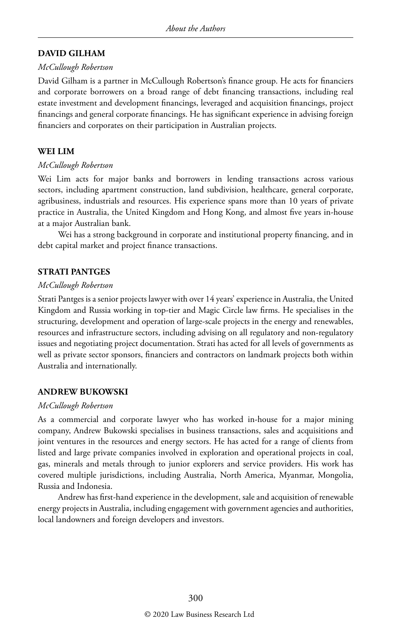#### **DAVID GILHAM**

#### *McCullough Robertson*

David Gilham is a partner in McCullough Robertson's finance group. He acts for financiers and corporate borrowers on a broad range of debt financing transactions, including real estate investment and development financings, leveraged and acquisition financings, project financings and general corporate financings. He has significant experience in advising foreign financiers and corporates on their participation in Australian projects.

#### **WEI LIM**

#### *McCullough Robertson*

Wei Lim acts for major banks and borrowers in lending transactions across various sectors, including apartment construction, land subdivision, healthcare, general corporate, agribusiness, industrials and resources. His experience spans more than 10 years of private practice in Australia, the United Kingdom and Hong Kong, and almost five years in-house at a major Australian bank.

Wei has a strong background in corporate and institutional property financing, and in debt capital market and project finance transactions.

#### **STRATI PANTGES**

#### *McCullough Robertson*

Strati Pantges is a senior projects lawyer with over 14 years' experience in Australia, the United Kingdom and Russia working in top-tier and Magic Circle law firms. He specialises in the structuring, development and operation of large-scale projects in the energy and renewables, resources and infrastructure sectors, including advising on all regulatory and non-regulatory issues and negotiating project documentation. Strati has acted for all levels of governments as well as private sector sponsors, financiers and contractors on landmark projects both within Australia and internationally.

#### **ANDREW BUKOWSKI**

#### *McCullough Robertson*

As a commercial and corporate lawyer who has worked in-house for a major mining company, Andrew Bukowski specialises in business transactions, sales and acquisitions and joint ventures in the resources and energy sectors. He has acted for a range of clients from listed and large private companies involved in exploration and operational projects in coal, gas, minerals and metals through to junior explorers and service providers. His work has covered multiple jurisdictions, including Australia, North America, Myanmar, Mongolia, Russia and Indonesia.

Andrew has first-hand experience in the development, sale and acquisition of renewable energy projects in Australia, including engagement with government agencies and authorities, local landowners and foreign developers and investors.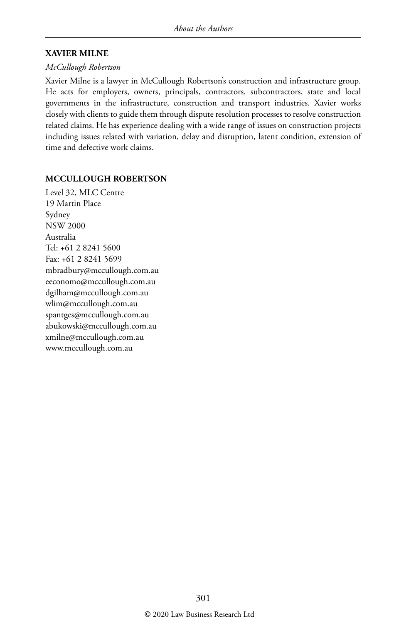#### **XAVIER MILNE**

#### *McCullough Robertson*

Xavier Milne is a lawyer in McCullough Robertson's construction and infrastructure group. He acts for employers, owners, principals, contractors, subcontractors, state and local governments in the infrastructure, construction and transport industries. Xavier works closely with clients to guide them through dispute resolution processes to resolve construction related claims. He has experience dealing with a wide range of issues on construction projects including issues related with variation, delay and disruption, latent condition, extension of time and defective work claims.

#### **MCCULLOUGH ROBERTSON**

Level 32, MLC Centre 19 Martin Place Sydney NSW 2000 Australia Tel: +61 2 8241 5600 Fax: +61 2 8241 5699 mbradbury@mccullough.com.au eeconomo@mccullough.com.au dgilham@mccullough.com.au wlim@mccullough.com.au spantges@mccullough.com.au abukowski@mccullough.com.au xmilne@mccullough.com.au www.mccullough.com.au